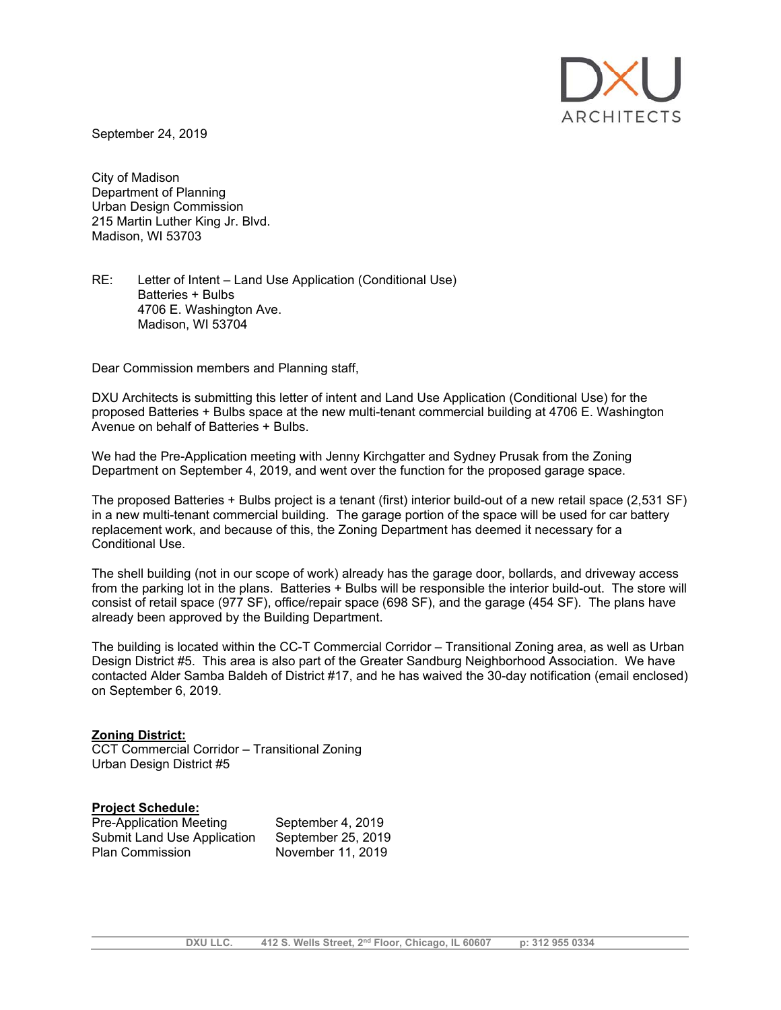

September 24, 2019

City of Madison Department of Planning Urban Design Commission 215 Martin Luther King Jr. Blvd. Madison, WI 53703

RE: Letter of Intent – Land Use Application (Conditional Use) Batteries + Bulbs 4706 E. Washington Ave. Madison, WI 53704

Dear Commission members and Planning staff,

DXU Architects is submitting this letter of intent and Land Use Application (Conditional Use) for the proposed Batteries + Bulbs space at the new multi-tenant commercial building at 4706 E. Washington Avenue on behalf of Batteries + Bulbs.

We had the Pre-Application meeting with Jenny Kirchgatter and Sydney Prusak from the Zoning Department on September 4, 2019, and went over the function for the proposed garage space.

The proposed Batteries + Bulbs project is a tenant (first) interior build-out of a new retail space (2,531 SF) in a new multi-tenant commercial building. The garage portion of the space will be used for car battery replacement work, and because of this, the Zoning Department has deemed it necessary for a Conditional Use.

The shell building (not in our scope of work) already has the garage door, bollards, and driveway access from the parking lot in the plans. Batteries + Bulbs will be responsible the interior build-out. The store will consist of retail space (977 SF), office/repair space (698 SF), and the garage (454 SF). The plans have already been approved by the Building Department.

The building is located within the CC-T Commercial Corridor – Transitional Zoning area, as well as Urban Design District #5. This area is also part of the Greater Sandburg Neighborhood Association. We have contacted Alder Samba Baldeh of District #17, and he has waived the 30-day notification (email enclosed) on September 6, 2019.

## **Zoning District:**

CCT Commercial Corridor – Transitional Zoning Urban Design District #5

## **Project Schedule:**

| Pre-Application Meeting     | September 4, 2019  |
|-----------------------------|--------------------|
| Submit Land Use Application | September 25, 2019 |
| <b>Plan Commission</b>      | November 11, 2019  |